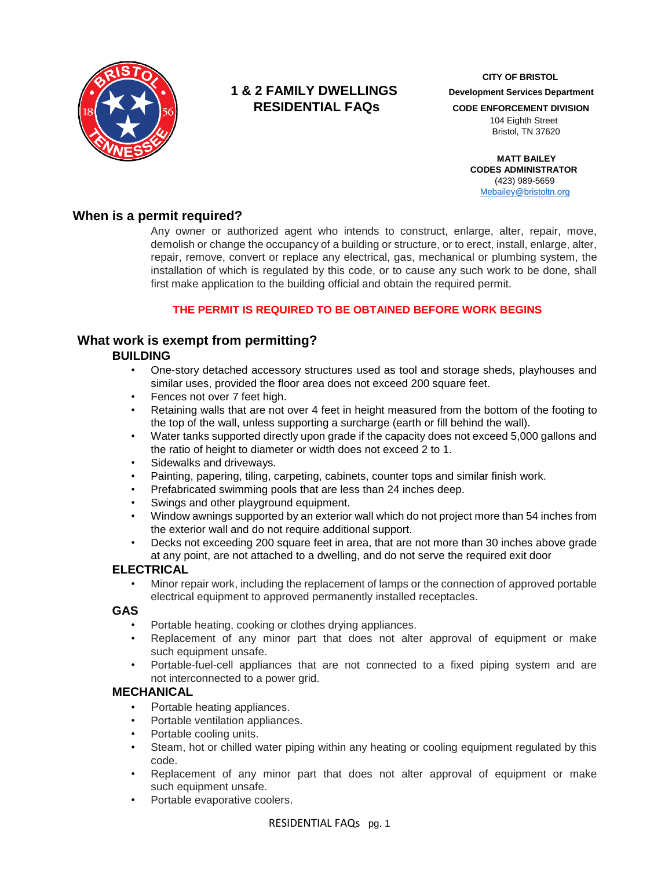

# **1 & 2 FAMILY DWELLINGS Development Services Department RESIDENTIAL FAQS** CODE ENFORCEMENT DIVISION

 **CITY OF BRISTOL**

 104 Eighth Street Bristol, TN 37620

 **MATT BAILEY CODES ADMINISTRATOR**  (423) 989-5659 [Mebailey@bristoltn.org](mailto:mebailey@bristoltn.org)

## **When is a permit required?**

Any owner or authorized agent who intends to construct, enlarge, alter, repair, move, demolish or change the occupancy of a building or structure, or to erect, install, enlarge, alter, repair, remove, convert or replace any electrical, gas, mechanical or plumbing system, the installation of which is regulated by this code, or to cause any such work to be done, shall first make application to the building official and obtain the required permit.

## **THE PERMIT IS REQUIRED TO BE OBTAINED BEFORE WORK BEGINS**

## **What work is exempt from permitting?**

## **BUILDING**

- One-story detached accessory structures used as tool and storage sheds, playhouses and similar uses, provided the floor area does not exceed 200 square feet.
- Fences not over 7 feet high.
- Retaining walls that are not over 4 feet in height measured from the bottom of the footing to the top of the wall, unless supporting a surcharge (earth or fill behind the wall).
- Water tanks supported directly upon grade if the capacity does not exceed 5,000 gallons and the ratio of height to diameter or width does not exceed 2 to 1.
- Sidewalks and driveways.
- Painting, papering, tiling, carpeting, cabinets, counter tops and similar finish work.
- Prefabricated swimming pools that are less than 24 inches deep.
- Swings and other playground equipment.
- Window awnings supported by an exterior wall which do not project more than 54 inches from the exterior wall and do not require additional support.
- Decks not exceeding 200 square feet in area, that are not more than 30 inches above grade at any point, are not attached to a dwelling, and do not serve the required exit door

## **ELECTRICAL**

• Minor repair work, including the replacement of lamps or the connection of approved portable electrical equipment to approved permanently installed receptacles.

## **GAS**

- Portable heating, cooking or clothes drying appliances.
- Replacement of any minor part that does not alter approval of equipment or make such equipment unsafe.
- Portable-fuel-cell appliances that are not connected to a fixed piping system and are not interconnected to a power grid.

## **MECHANICAL**

- Portable heating appliances.
- Portable ventilation appliances.
- Portable cooling units.
- Steam, hot or chilled water piping within any heating or cooling equipment regulated by this code.
- Replacement of any minor part that does not alter approval of equipment or make such equipment unsafe.
- Portable evaporative coolers.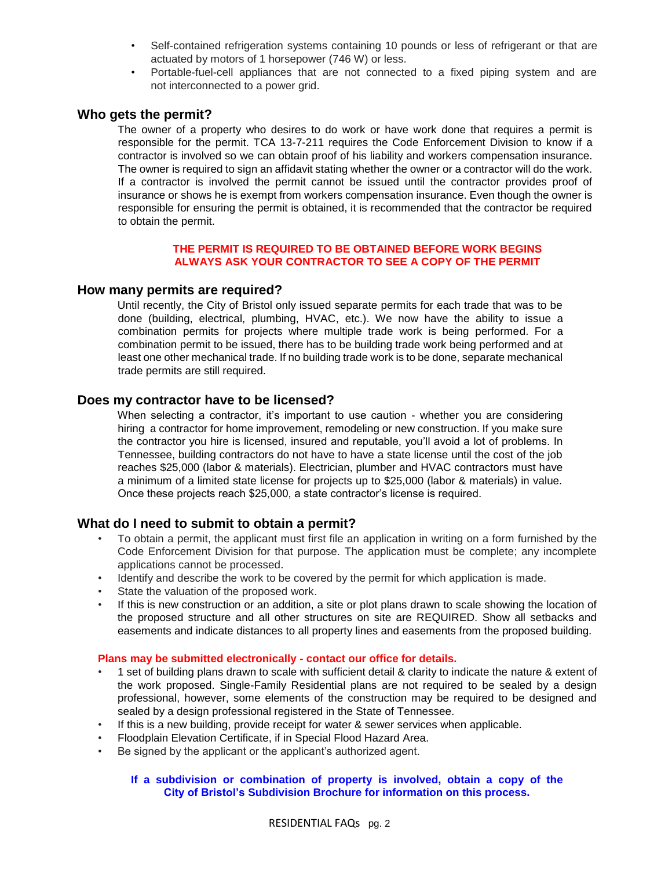- Self-contained refrigeration systems containing 10 pounds or less of refrigerant or that are actuated by motors of 1 horsepower (746 W) or less.
- Portable-fuel-cell appliances that are not connected to a fixed piping system and are not interconnected to a power grid.

## **Who gets the permit?**

The owner of a property who desires to do work or have work done that requires a permit is responsible for the permit. TCA 13-7-211 requires the Code Enforcement Division to know if a contractor is involved so we can obtain proof of his liability and workers compensation insurance. The owner is required to sign an affidavit stating whether the owner or a contractor will do the work. If a contractor is involved the permit cannot be issued until the contractor provides proof of insurance or shows he is exempt from workers compensation insurance. Even though the owner is responsible for ensuring the permit is obtained, it is recommended that the contractor be required to obtain the permit.

#### **THE PERMIT IS REQUIRED TO BE OBTAINED BEFORE WORK BEGINS ALWAYS ASK YOUR CONTRACTOR TO SEE A COPY OF THE PERMIT**

## **How many permits are required?**

Until recently, the City of Bristol only issued separate permits for each trade that was to be done (building, electrical, plumbing, HVAC, etc.). We now have the ability to issue a combination permits for projects where multiple trade work is being performed. For a combination permit to be issued, there has to be building trade work being performed and at least one other mechanical trade. If no building trade work is to be done, separate mechanical trade permits are still required.

#### **Does my contractor have to be licensed?**

When selecting a contractor, it's important to use caution - whether you are considering hiring a contractor for home improvement, remodeling or new construction. If you make sure the contractor you hire is licensed, insured and reputable, you'll avoid a lot of problems. In Tennessee, building contractors do not have to have a state license until the cost of the job reaches \$25,000 (labor & materials). Electrician, plumber and HVAC contractors must have a minimum of a limited state license for projects up to \$25,000 (labor & materials) in value. Once these projects reach \$25,000, a state contractor's license is required.

#### **What do I need to submit to obtain a permit?**

- To obtain a permit, the applicant must first file an application in writing on a form furnished by the Code Enforcement Division for that purpose. The application must be complete; any incomplete applications cannot be processed.
- Identify and describe the work to be covered by the permit for which application is made.
- State the valuation of the proposed work.
- If this is new construction or an addition, a site or plot plans drawn to scale showing the location of the proposed structure and all other structures on site are REQUIRED. Show all setbacks and easements and indicate distances to all property lines and easements from the proposed building.

#### **Plans may be submitted electronically - contact our office for details.**

- 1 set of building plans drawn to scale with sufficient detail & clarity to indicate the nature & extent of the work proposed. Single-Family Residential plans are not required to be sealed by a design professional, however, some elements of the construction may be required to be designed and sealed by a design professional registered in the State of Tennessee.
- If this is a new building, provide receipt for water & sewer services when applicable.
- Floodplain Elevation Certificate, if in Special Flood Hazard Area.
- Be signed by the applicant or the applicant's authorized agent.

#### **If a subdivision or combination of property is involved, obtain a copy of the City of Bristol's Subdivision Brochure for information on this process.**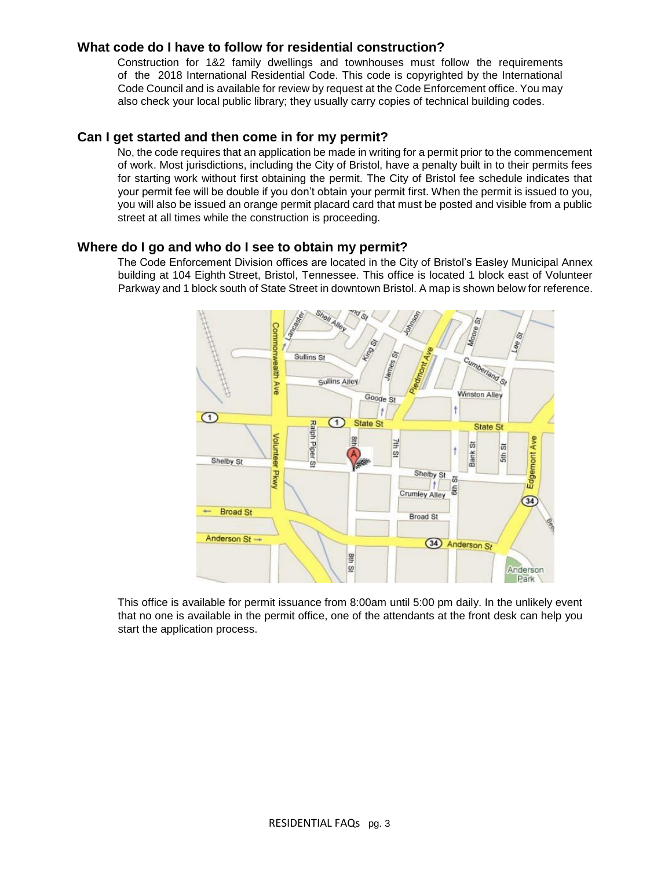## **What code do I have to follow for residential construction?**

Construction for 1&2 family dwellings and townhouses must follow the requirements of the 2018 International Residential Code. This code is copyrighted by the International Code Council and is available for review by request at the Code Enforcement office. You may also check your local public library; they usually carry copies of technical building codes.

#### **Can I get started and then come in for my permit?**

No, the code requires that an application be made in writing for a permit prior to the commencement of work. Most jurisdictions, including the City of Bristol, have a penalty built in to their permits fees for starting work without first obtaining the permit. The City of Bristol fee schedule indicates that your permit fee will be double if you don't obtain your permit first. When the permit is issued to you, you will also be issued an orange permit placard card that must be posted and visible from a public street at all times while the construction is proceeding.

#### **Where do I go and who do I see to obtain my permit?**

The Code Enforcement Division offices are located in the City of Bristol's Easley Municipal Annex building at 104 Eighth Street, Bristol, Tennessee. This office is located 1 block east of Volunteer Parkway and 1 block south of State Street in downtown Bristol. A map is shown below for reference.



This office is available for permit issuance from 8:00am until 5:00 pm daily. In the unlikely event that no one is available in the permit office, one of the attendants at the front desk can help you start the application process.